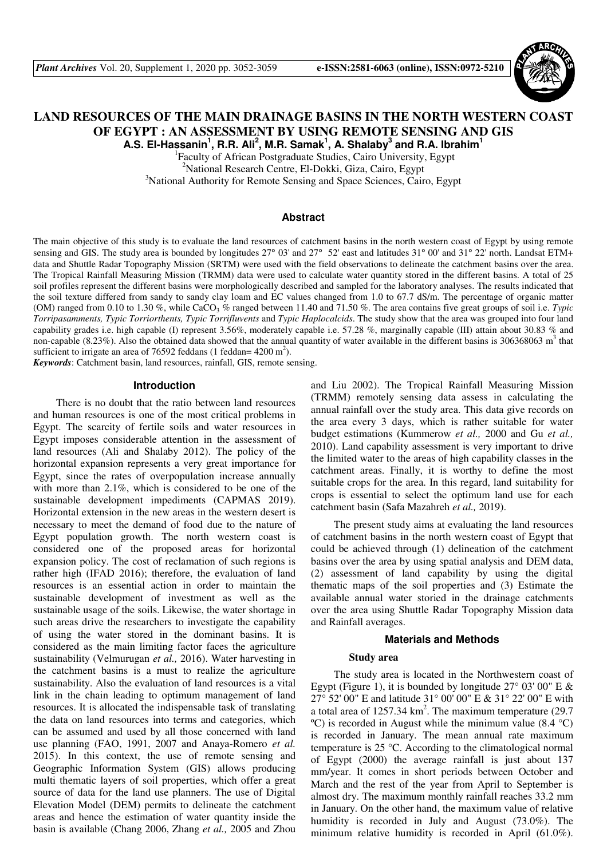

# **LAND RESOURCES OF THE MAIN DRAINAGE BASINS IN THE NORTH WESTERN COAST OF EGYPT : AN ASSESSMENT BY USING REMOTE SENSING AND GIS**

**A.S. El-Hassanin<sup>1</sup> , R.R. Ali<sup>2</sup> , M.R. Samak<sup>1</sup> , A. Shalaby<sup>3</sup> and R.A. Ibrahim<sup>1</sup>**

<sup>2</sup>National Research Centre, El-Dokki, Giza, Cairo, Egypt <sup>3</sup>National Authority for Remote Sensing and Space Sciences, Cairo, Egypt 1 Faculty of African Postgraduate Studies, Cairo University, Egypt

## **Abstract**

The main objective of this study is to evaluate the land resources of catchment basins in the north western coast of Egypt by using remote sensing and GIS. The study area is bounded by longitudes 27° 03' and 27° 52' east and latitudes 31° 00' and 31° 22' north. Landsat ETM+ data and Shuttle Radar Topography Mission (SRTM) were used with the field observations to delineate the catchment basins over the area. The Tropical Rainfall Measuring Mission (TRMM) data were used to calculate water quantity stored in the different basins. A total of 25 soil profiles represent the different basins were morphologically described and sampled for the laboratory analyses. The results indicated that the soil texture differed from sandy to sandy clay loam and EC values changed from 1.0 to 67.7 dS/m. The percentage of organic matter (OM) ranged from 0.10 to 1.30 %, while CaCO<sub>3</sub> % ranged between 11.40 and 71.50 %. The area contains five great groups of soil i.e. *Typic Torripasamments, Typic Torriorthents, Typic Torrifluvents* and *Typic Haplocalcids*. The study show that the area was grouped into four land capability grades i.e. high capable (I) represent 3.56%, moderately capable i.e. 57.28 %, marginally capable (III) attain about 30.83 % and non-capable (8.23%). Also the obtained data showed that the annual quantity of water available in the different basins is 306368063 m<sup>3</sup> that sufficient to irrigate an area of 76592 feddans (1 feddan=  $4200 \text{ m}^2$ ).

*Keywords*: Catchment basin, land resources, rainfall, GIS, remote sensing.

## **Introduction**

There is no doubt that the ratio between land resources and human resources is one of the most critical problems in Egypt. The scarcity of fertile soils and water resources in Egypt imposes considerable attention in the assessment of land resources (Ali and Shalaby 2012). The policy of the horizontal expansion represents a very great importance for Egypt, since the rates of overpopulation increase annually with more than 2.1%, which is considered to be one of the sustainable development impediments (CAPMAS 2019). Horizontal extension in the new areas in the western desert is necessary to meet the demand of food due to the nature of Egypt population growth. The north western coast is considered one of the proposed areas for horizontal expansion policy. The cost of reclamation of such regions is rather high (IFAD 2016); therefore, the evaluation of land resources is an essential action in order to maintain the sustainable development of investment as well as the sustainable usage of the soils. Likewise, the water shortage in such areas drive the researchers to investigate the capability of using the water stored in the dominant basins. It is considered as the main limiting factor faces the agriculture sustainability (Velmurugan *et al.,* 2016). Water harvesting in the catchment basins is a must to realize the agriculture sustainability. Also the evaluation of land resources is a vital link in the chain leading to optimum management of land resources. It is allocated the indispensable task of translating the data on land resources into terms and categories, which can be assumed and used by all those concerned with land use planning (FAO, 1991, 2007 and Anaya-Romero *et al.* 2015). In this context, the use of remote sensing and Geographic Information System (GIS) allows producing multi thematic layers of soil properties, which offer a great source of data for the land use planners. The use of Digital Elevation Model (DEM) permits to delineate the catchment areas and hence the estimation of water quantity inside the basin is available (Chang 2006, Zhang *et al.,* 2005 and Zhou and Liu 2002). The Tropical Rainfall Measuring Mission (TRMM) remotely sensing data assess in calculating the annual rainfall over the study area. This data give records on the area every 3 days, which is rather suitable for water budget estimations (Kummerow *et al.,* 2000 and Gu *et al.,* 2010). Land capability assessment is very important to drive the limited water to the areas of high capability classes in the catchment areas. Finally, it is worthy to define the most suitable crops for the area. In this regard, land suitability for crops is essential to select the optimum land use for each catchment basin (Safa Mazahreh *et al.,* 2019).

The present study aims at evaluating the land resources of catchment basins in the north western coast of Egypt that could be achieved through (1) delineation of the catchment basins over the area by using spatial analysis and DEM data, (2) assessment of land capability by using the digital thematic maps of the soil properties and (3) Estimate the available annual water storied in the drainage catchments over the area using Shuttle Radar Topography Mission data and Rainfall averages.

### **Materials and Methods**

#### **Study area**

The study area is located in the Northwestern coast of Egypt (Figure 1), it is bounded by longitude  $27^{\circ}$  03' 00" E & 27° 52' 00" E and latitude 31° 00' 00" E & 31° 22' 00" E with a total area of  $1257.34 \text{ km}^2$ . The maximum temperature (29.7)  $\rm{°C}$ ) is recorded in August while the minimum value (8.4  $\rm{°C}$ ) is recorded in January. The mean annual rate maximum temperature is 25 °C. According to the climatological normal of Egypt (2000) the average rainfall is just about 137 mm/year. It comes in short periods between October and March and the rest of the year from April to September is almost dry. The maximum monthly rainfall reaches 33.2 mm in January. On the other hand, the maximum value of relative humidity is recorded in July and August (73.0%). The minimum relative humidity is recorded in April (61.0%).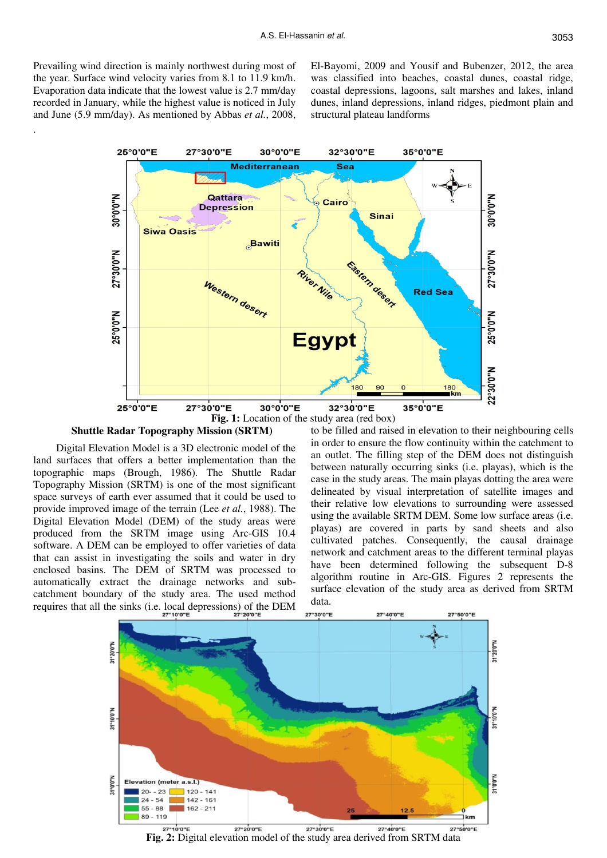Prevailing wind direction is mainly northwest during most of the year. Surface wind velocity varies from 8.1 to 11.9 km/h. Evaporation data indicate that the lowest value is 2.7 mm/day recorded in January, while the highest value is noticed in July and June (5.9 mm/day). As mentioned by Abbas *et al.*, 2008,

.

El-Bayomi, 2009 and Yousif and Bubenzer, 2012, the area was classified into beaches, coastal dunes, coastal ridge, coastal depressions, lagoons, salt marshes and lakes, inland dunes, inland depressions, inland ridges, piedmont plain and structural plateau landforms



#### **Shuttle Radar Topography Mission (SRTM)**

Digital Elevation Model is a 3D electronic model of the land surfaces that offers a better implementation than the topographic maps (Brough, 1986). The Shuttle Radar Topography Mission (SRTM) is one of the most significant space surveys of earth ever assumed that it could be used to provide improved image of the terrain (Lee *et al.*, 1988). The Digital Elevation Model (DEM) of the study areas were produced from the SRTM image using Arc-GIS 10.4 software. A DEM can be employed to offer varieties of data that can assist in investigating the soils and water in dry enclosed basins. The DEM of SRTM was processed to automatically extract the drainage networks and subcatchment boundary of the study area. The used method requires that all the sinks (i.e. local depressions) of the DEM

to be filled and raised in elevation to their neighbouring cells in order to ensure the flow continuity within the catchment to an outlet. The filling step of the DEM does not distinguish between naturally occurring sinks (i.e. playas), which is the case in the study areas. The main playas dotting the area were delineated by visual interpretation of satellite images and their relative low elevations to surrounding were assessed using the available SRTM DEM. Some low surface areas (i.e. playas) are covered in parts by sand sheets and also cultivated patches. Consequently, the causal drainage network and catchment areas to the different terminal playas have been determined following the subsequent D-8 algorithm routine in Arc-GIS. Figures 2 represents the surface elevation of the study area as derived from SRTM data.



**Fig. 2:** Digital elevation model of the study area derived from SRTM data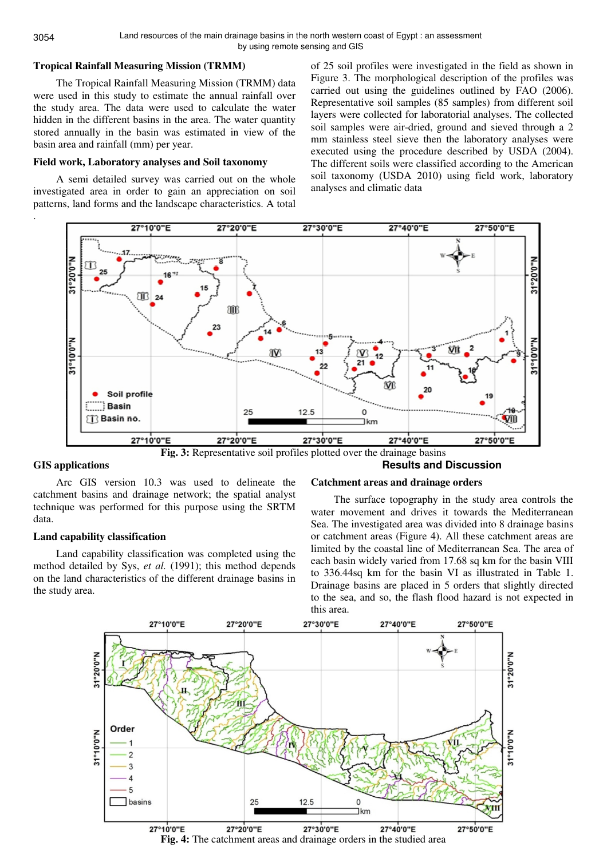## **Tropical Rainfall Measuring Mission (TRMM)**

The Tropical Rainfall Measuring Mission (TRMM) data were used in this study to estimate the annual rainfall over the study area. The data were used to calculate the water hidden in the different basins in the area. The water quantity stored annually in the basin was estimated in view of the basin area and rainfall (mm) per year.

#### **Field work, Laboratory analyses and Soil taxonomy**

A semi detailed survey was carried out on the whole investigated area in order to gain an appreciation on soil patterns, land forms and the landscape characteristics. A total

of 25 soil profiles were investigated in the field as shown in Figure 3. The morphological description of the profiles was carried out using the guidelines outlined by FAO (2006). Representative soil samples (85 samples) from different soil layers were collected for laboratorial analyses. The collected soil samples were air-dried, ground and sieved through a 2 mm stainless steel sieve then the laboratory analyses were executed using the procedure described by USDA (2004). The different soils were classified according to the American soil taxonomy (USDA 2010) using field work, laboratory analyses and climatic data





## **GIS applications**

Arc GIS version 10.3 was used to delineate the catchment basins and drainage network; the spatial analyst technique was performed for this purpose using the SRTM data.

#### **Land capability classification**

Land capability classification was completed using the method detailed by Sys, *et al.* (1991); this method depends on the land characteristics of the different drainage basins in the study area.

#### **Catchment areas and drainage orders**

The surface topography in the study area controls the water movement and drives it towards the Mediterranean Sea. The investigated area was divided into 8 drainage basins or catchment areas (Figure 4). All these catchment areas are limited by the coastal line of Mediterranean Sea. The area of each basin widely varied from 17.68 sq km for the basin VIII to 336.44sq km for the basin VI as illustrated in Table 1. Drainage basins are placed in 5 orders that slightly directed to the sea, and so, the flash flood hazard is not expected in this area.

**Results and Discussion** 



.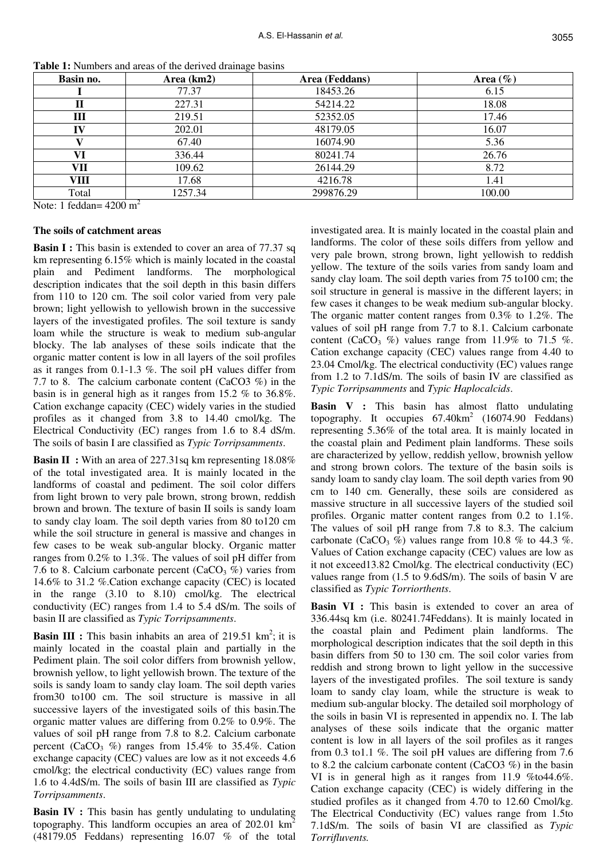| Basin no. | Area (km2)                | Area (Feddans) | Area $(\%)$ |
|-----------|---------------------------|----------------|-------------|
|           | 77.37                     | 18453.26       | 6.15        |
| п         | 227.31                    | 54214.22       | 18.08       |
| Ш         | 219.51                    | 52352.05       | 17.46       |
| IV        | 202.01                    | 48179.05       | 16.07       |
|           | 67.40                     | 16074.90       | 5.36        |
| VI        | 336.44                    | 80241.74       | 26.76       |
| VЦ        | 109.62                    | 26144.29       | 8.72        |
| VIII      | 17.68                     | 4216.78        | 1.41        |
| Total     | 1257.34<br>$\overline{ }$ | 299876.29      | 100.00      |

**Table 1:** Numbers and areas of the derived drainage basins

Note: 1 feddan=  $4200 \text{ m}^2$ 

#### **The soils of catchment areas**

**Basin I :** This basin is extended to cover an area of 77.37 sq km representing 6.15% which is mainly located in the coastal plain and Pediment landforms. The morphological description indicates that the soil depth in this basin differs from 110 to 120 cm. The soil color varied from very pale brown; light yellowish to yellowish brown in the successive layers of the investigated profiles. The soil texture is sandy loam while the structure is weak to medium sub-angular blocky. The lab analyses of these soils indicate that the organic matter content is low in all layers of the soil profiles as it ranges from 0.1-1.3 %. The soil pH values differ from 7.7 to 8. The calcium carbonate content (CaCO3 %) in the basin is in general high as it ranges from 15.2 % to 36.8%. Cation exchange capacity (CEC) widely varies in the studied profiles as it changed from 3.8 to 14.40 cmol/kg. The Electrical Conductivity (EC) ranges from 1.6 to 8.4 dS/m. The soils of basin I are classified as *Typic Torripsamments*.

**Basin II :** With an area of 227.31sq km representing 18.08% of the total investigated area. It is mainly located in the landforms of coastal and pediment. The soil color differs from light brown to very pale brown, strong brown, reddish brown and brown. The texture of basin II soils is sandy loam to sandy clay loam. The soil depth varies from 80 to120 cm while the soil structure in general is massive and changes in few cases to be weak sub-angular blocky. Organic matter ranges from 0.2% to 1.3%. The values of soil pH differ from 7.6 to 8. Calcium carbonate percent (CaCO<sub>3</sub>  $\%$ ) varies from 14.6% to 31.2 %.Cation exchange capacity (CEC) is located in the range (3.10 to 8.10) cmol/kg. The electrical conductivity (EC) ranges from 1.4 to 5.4 dS/m. The soils of basin II are classified as *Typic Torripsamments*.

**Basin III**: This basin inhabits an area of 219.51  $km^2$ ; it is mainly located in the coastal plain and partially in the Pediment plain. The soil color differs from brownish yellow, brownish yellow, to light yellowish brown. The texture of the soils is sandy loam to sandy clay loam. The soil depth varies from30 to100 cm. The soil structure is massive in all successive layers of the investigated soils of this basin.The organic matter values are differing from 0.2% to 0.9%. The values of soil pH range from 7.8 to 8.2. Calcium carbonate percent (CaCO<sub>3</sub> %) ranges from 15.4% to 35.4%. Cation exchange capacity (CEC) values are low as it not exceeds 4.6 cmol/kg; the electrical conductivity (EC) values range from 1.6 to 4.4dS/m. The soils of basin III are classified as *Typic Torripsamments*.

**Basin IV**: This basin has gently undulating to undulating topography. This landform occupies an area of 202.01 km<sup>2</sup> (48179.05 Feddans) representing 16.07 % of the total investigated area. It is mainly located in the coastal plain and landforms. The color of these soils differs from yellow and very pale brown, strong brown, light yellowish to reddish yellow. The texture of the soils varies from sandy loam and sandy clay loam. The soil depth varies from 75 to100 cm; the soil structure in general is massive in the different layers; in few cases it changes to be weak medium sub-angular blocky. The organic matter content ranges from 0.3% to 1.2%. The values of soil pH range from 7.7 to 8.1. Calcium carbonate content (CaCO<sub>3</sub>  $\%$ ) values range from 11.9% to 71.5 %. Cation exchange capacity (CEC) values range from 4.40 to 23.04 Cmol/kg. The electrical conductivity (EC) values range from 1.2 to 7.1dS/m. The soils of basin IV are classified as *Typic Torripsamments* and *Typic Haplocalcids*.

**Basin V :** This basin has almost flatto undulating topography. It occupies  $67.40 \text{km}^2$  (16074.90 Feddans) representing 5.36% of the total area. It is mainly located in the coastal plain and Pediment plain landforms. These soils are characterized by yellow, reddish yellow, brownish yellow and strong brown colors. The texture of the basin soils is sandy loam to sandy clay loam. The soil depth varies from 90 cm to 140 cm. Generally, these soils are considered as massive structure in all successive layers of the studied soil profiles. Organic matter content ranges from 0.2 to 1.1%. The values of soil pH range from 7.8 to 8.3. The calcium carbonate (CaCO<sub>3</sub> %) values range from 10.8 % to 44.3 %. Values of Cation exchange capacity (CEC) values are low as it not exceed13.82 Cmol/kg. The electrical conductivity (EC) values range from (1.5 to 9.6dS/m). The soils of basin V are classified as *Typic Torriorthents*.

Basin VI : This basin is extended to cover an area of 336.44sq km (i.e. 80241.74Feddans). It is mainly located in the coastal plain and Pediment plain landforms. The morphological description indicates that the soil depth in this basin differs from 50 to 130 cm. The soil color varies from reddish and strong brown to light yellow in the successive layers of the investigated profiles. The soil texture is sandy loam to sandy clay loam, while the structure is weak to medium sub-angular blocky. The detailed soil morphology of the soils in basin VI is represented in appendix no. I. The lab analyses of these soils indicate that the organic matter content is low in all layers of the soil profiles as it ranges from 0.3 to1.1 %. The soil pH values are differing from 7.6 to 8.2 the calcium carbonate content (CaCO3 %) in the basin VI is in general high as it ranges from 11.9 %to44.6%. Cation exchange capacity (CEC) is widely differing in the studied profiles as it changed from 4.70 to 12.60 Cmol/kg. The Electrical Conductivity (EC) values range from 1.5to 7.1dS/m. The soils of basin VI are classified as *Typic Torrifluvents.*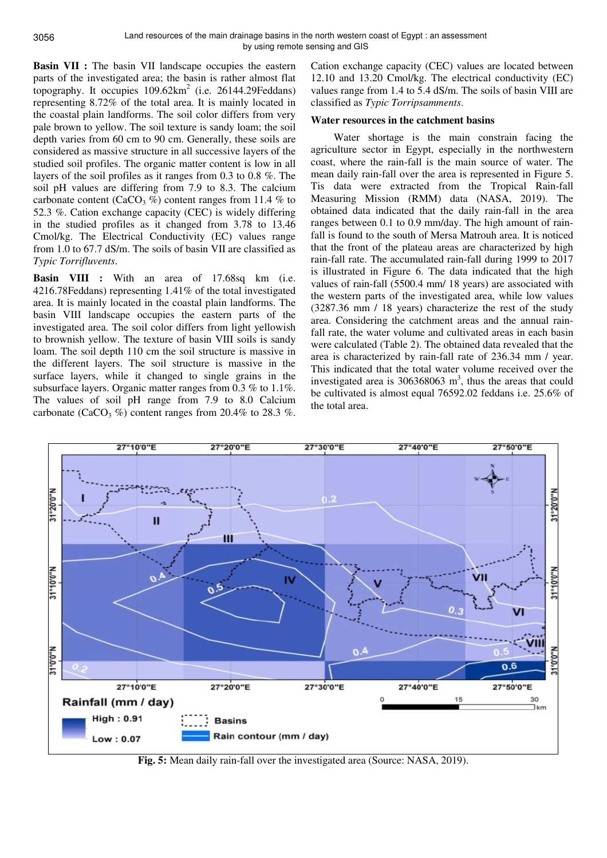**Basin VII :** The basin VII landscape occupies the eastern parts of the investigated area; the basin is rather almost flat topography. It occupies  $109.62 \text{km}^2$  (i.e. 26144.29Feddans) representing 8.72% of the total area. It is mainly located in the coastal plain landforms. The soil color differs from very pale brown to yellow. The soil texture is sandy loam; the soil depth varies from 60 cm to 90 cm. Generally, these soils are considered as massive structure in all successive layers of the studied soil profiles. The organic matter content is low in all layers of the soil profiles as it ranges from 0.3 to 0.8 %. The soil pH values are differing from 7.9 to 8.3. The calcium carbonate content (CaCO<sub>3</sub>  $\%$ ) content ranges from 11.4  $\%$  to 52.3 %. Cation exchange capacity (CEC) is widely differing in the studied profiles as it changed from 3.78 to 13.46 Cmol/kg. The Electrical Conductivity (EC) values range from 1.0 to 67.7 dS/m. The soils of basin VII are classified as *Typic Torrifluvents*.

**Basin VIII :** With an area of 17.68sq km (i.e. 4216.78Feddans) representing 1.41% of the total investigated area. It is mainly located in the coastal plain landforms. The basin VIII landscape occupies the eastern parts of the investigated area. The soil color differs from light yellowish to brownish yellow. The texture of basin VIII soils is sandy loam. The soil depth 110 cm the soil structure is massive in the different layers. The soil structure is massive in the surface layers, while it changed to single grains in the subsurface layers. Organic matter ranges from 0.3 % to 1.1%. The values of soil pH range from 7.9 to 8.0 Calcium carbonate (CaCO<sub>3</sub> %) content ranges from 20.4% to 28.3 %.

Cation exchange capacity (CEC) values are located between 12.10 and 13.20 Cmol/kg. The electrical conductivity (EC) values range from 1.4 to 5.4 dS/m. The soils of basin VIII are classified as *Typic Torripsamments*.

## **Water resources in the catchment basins**

Water shortage is the main constrain facing the agriculture sector in Egypt, especially in the northwestern coast, where the rain-fall is the main source of water. The mean daily rain-fall over the area is represented in Figure 5. Tis data were extracted from the Tropical Rain-fall Measuring Mission (RMM) data (NASA, 2019). The obtained data indicated that the daily rain-fall in the area ranges between 0.1 to 0.9 mm/day. The high amount of rainfall is found to the south of Mersa Matrouh area. It is noticed that the front of the plateau areas are characterized by high rain-fall rate. The accumulated rain-fall during 1999 to 2017 is illustrated in Figure 6. The data indicated that the high values of rain-fall (5500.4 mm/ 18 years) are associated with the western parts of the investigated area, while low values (3287.36 mm / 18 years) characterize the rest of the study area. Considering the catchment areas and the annual rainfall rate, the water volume and cultivated areas in each basin were calculated (Table 2). The obtained data revealed that the area is characterized by rain-fall rate of 236.34 mm / year. This indicated that the total water volume received over the investigated area is  $306368063$  m<sup>3</sup>, thus the areas that could be cultivated is almost equal 76592.02 feddans i.e. 25.6% of the total area.



**Fig. 5:** Mean daily rain-fall over the investigated area (Source: NASA, 2019).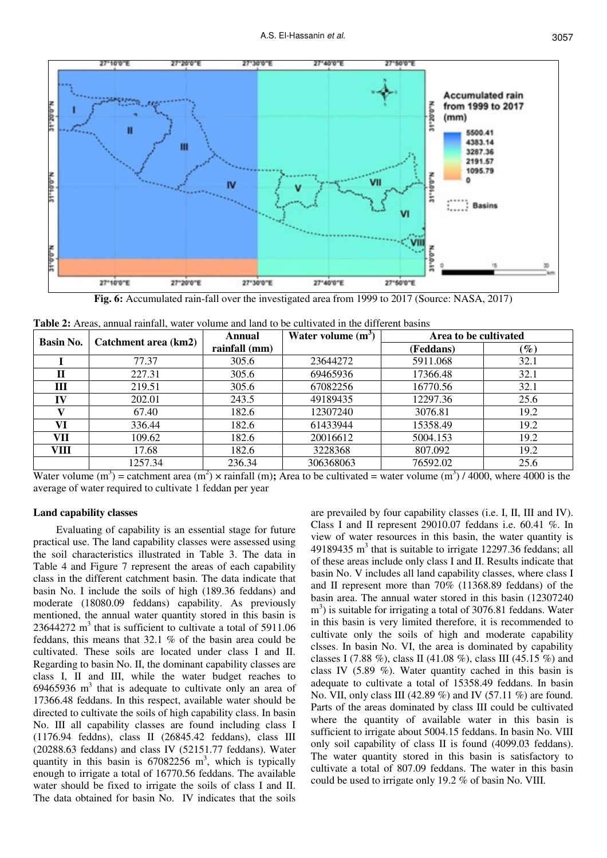

**Fig. 6:** Accumulated rain-fall over the investigated area from 1999 to 2017 (Source: NASA, 2017)

| <b>Basin No.</b> | Catchment area (km2) | Annual            | Water volume $(m^3)$ | Area to be cultivated |        |  |
|------------------|----------------------|-------------------|----------------------|-----------------------|--------|--|
|                  |                      | rainfall (mm)     |                      | (Feddans)             | $(\%)$ |  |
|                  | 77.37                | 305.6             | 23644272             | 5911.068              | 32.1   |  |
| Ħ                | 227.31               | 305.6<br>69465936 |                      | 17366.48              | 32.1   |  |
| Ш                | 219.51               | 305.6             | 67082256             | 16770.56              | 32.1   |  |
| IV               | 202.01               | 243.5             | 49189435             | 12297.36              | 25.6   |  |
|                  | 67.40<br>182.6       |                   | 12307240             | 3076.81               | 19.2   |  |
| VI               | 336.44<br>182.6      |                   | 61433944             | 15358.49              | 19.2   |  |
| <b>VII</b>       | 109.62<br>182.6      |                   | 20016612             | 5004.153              | 19.2   |  |
| VIII             | 17.68                | 182.6             | 3228368              | 807.092               | 19.2   |  |
|                  | 1257.34              | 236.34            | 306368063            | 76592.02              | 25.6   |  |

| <b>Table 2:</b> Areas, annual rainfall, water volume and land to be cultivated in the different basins |  |  |  |
|--------------------------------------------------------------------------------------------------------|--|--|--|
|--------------------------------------------------------------------------------------------------------|--|--|--|

Water volume  $(m^3)$  = catchment area  $(m^2)$  x rainfall  $(m)$ ; Area to be cultivated = water volume  $(m^3)$  / 4000, where 4000 is the average of water required to cultivate 1 feddan per year

# **Land capability classes**

Evaluating of capability is an essential stage for future practical use. The land capability classes were assessed using the soil characteristics illustrated in Table 3. The data in Table 4 and Figure 7 represent the areas of each capability class in the different catchment basin. The data indicate that basin No. I include the soils of high (189.36 feddans) and moderate (18080.09 feddans) capability. As previously mentioned, the annual water quantity stored in this basin is  $23644272$  m<sup>3</sup> that is sufficient to cultivate a total of 5911.06 feddans, this means that 32.1 % of the basin area could be cultivated. These soils are located under class I and II. Regarding to basin No. II, the dominant capability classes are class I, II and III, while the water budget reaches to  $69465936$  m<sup>3</sup> that is adequate to cultivate only an area of 17366.48 feddans. In this respect, available water should be directed to cultivate the soils of high capability class. In basin No. III all capability classes are found including class I (1176.94 feddns), class II (26845.42 feddans), class III (20288.63 feddans) and class IV (52151.77 feddans). Water quantity in this basin is  $67082256$  m<sup>3</sup>, which is typically enough to irrigate a total of 16770.56 feddans. The available water should be fixed to irrigate the soils of class I and II. The data obtained for basin No. IV indicates that the soils

are prevailed by four capability classes (i.e. I, II, III and IV). Class I and II represent 29010.07 feddans i.e. 60.41 %. In view of water resources in this basin, the water quantity is 49189435  $m<sup>3</sup>$  that is suitable to irrigate 12297.36 feddans; all of these areas include only class I and II. Results indicate that basin No. V includes all land capability classes, where class I and II represent more than 70% (11368.89 feddans) of the basin area. The annual water stored in this basin (12307240 m<sup>3</sup>) is suitable for irrigating a total of 3076.81 feddans. Water in this basin is very limited therefore, it is recommended to cultivate only the soils of high and moderate capability clsses. In basin No. VI, the area is dominated by capability classes I (7.88 %), class II (41.08 %), class III (45.15 %) and class IV  $(5.89 \%)$ . Water quantity cached in this basin is adequate to cultivate a total of 15358.49 feddans. In basin No. VII, only class III (42.89 %) and IV (57.11 %) are found. Parts of the areas dominated by class III could be cultivated where the quantity of available water in this basin is sufficient to irrigate about 5004.15 feddans. In basin No. VIII only soil capability of class II is found (4099.03 feddans). The water quantity stored in this basin is satisfactory to cultivate a total of 807.09 feddans. The water in this basin could be used to irrigate only 19.2 % of basin No. VIII.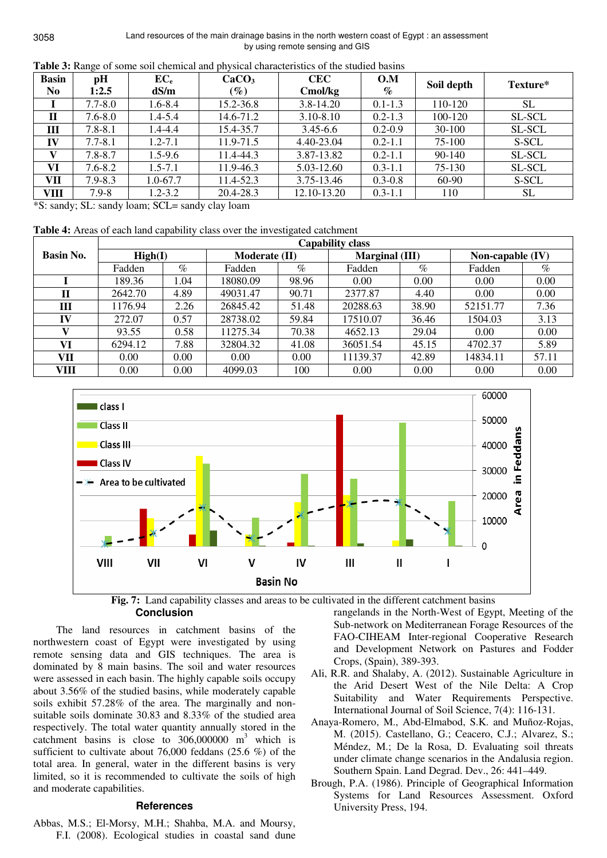| <b>Basin</b><br>N <sub>0</sub> | pH<br>1:2.5 | $EC_e$<br>dS/m | CaCO <sub>3</sub><br>$(\%)$ | <b>CEC</b><br>Cmol/kg | O.M<br>$\%$ | Soil depth | Texture*  |
|--------------------------------|-------------|----------------|-----------------------------|-----------------------|-------------|------------|-----------|
|                                | $7.7 - 8.0$ | $1.6 - 8.4$    | 15.2-36.8                   | $3.8 - 14.20$         | $0.1 - 1.3$ | 110-120    | <b>SL</b> |
| $\mathbf H$                    | $7.6 - 8.0$ | $1.4 - 5.4$    | 14.6-71.2                   | $3.10 - 8.10$         | $0.2 - 1.3$ | 100-120    | SL-SCL    |
| Ш                              | $7.8 - 8.1$ | 1.4-4.4        | 15.4-35.7                   | $3.45 - 6.6$          | $0.2 - 0.9$ | 30-100     | SL-SCL    |
| IV                             | $7.7 - 8.1$ | $1.2 - 7.1$    | 11.9-71.5                   | 4.40-23.04            | $0.2 - 1.1$ | 75-100     | S-SCL     |
| V                              | $7.8 - 8.7$ | $1.5 - 9.6$    | 11.4-44.3                   | 3.87-13.82            | $0.2 - 1.1$ | 90-140     | SL-SCL    |
| VI                             | $7.6 - 8.2$ | $1.5 - 7.1$    | 11.9-46.3                   | 5.03-12.60            | $0.3 - 1.1$ | 75-130     | SL-SCL    |
| VII                            | $7.9 - 8.3$ | $1.0 - 67.7$   | 11.4-52.3                   | 3.75-13.46            | $0.3 - 0.8$ | 60-90      | S-SCL     |
| VIII                           | $7.9 - 8$   | $1.2 - 3.2$    | 20.4-28.3                   | 12.10-13.20           | $0.3 - 1.1$ | 110        | <b>SL</b> |

**Table 3:** Range of some soil chemical and physical characteristics of the studied basins

\*S: sandy; SL: sandy loam; SCL= sandy clay loam

**Table 4:** Areas of each land capability class over the investigated catchment

|                  | <b>Capability class</b> |      |               |       |                |       |                    |       |
|------------------|-------------------------|------|---------------|-------|----------------|-------|--------------------|-------|
| <b>Basin No.</b> | High(I)                 |      | Moderate (II) |       | Marginal (III) |       | Non-capable $(IV)$ |       |
|                  | Fadden                  | $\%$ | Fadden        | $\%$  | Fadden         | $\%$  | Fadden             | $\%$  |
|                  | 189.36                  | 1.04 | 18080.09      | 98.96 | 0.00           | 0.00  | 0.00               | 0.00  |
| П                | 2642.70                 | 4.89 | 49031.47      | 90.71 | 2377.87        | 4.40  | 0.00               | 0.00  |
| Ш                | 1176.94                 | 2.26 | 26845.42      | 51.48 | 20288.63       | 38.90 | 52151.77           | 7.36  |
| IV               | 272.07                  | 0.57 | 28738.02      | 59.84 | 17510.07       | 36.46 | 1504.03            | 3.13  |
| V                | 93.55                   | 0.58 | 11275.34      | 70.38 | 4652.13        | 29.04 | 0.00               | 0.00  |
| VI               | 6294.12                 | 7.88 | 32804.32      | 41.08 | 36051.54       | 45.15 | 4702.37            | 5.89  |
| VH               | 0.00                    | 0.00 | 0.00          | 0.00  | 11139.37       | 42.89 | 14834.11           | 57.11 |
| VIII             | 0.00                    | 0.00 | 4099.03       | 100   | 0.00           | 0.00  | 0.00               | 0.00  |



**Fig. 7:** Land capability classes and areas to be cultivated in the different catchment basins

**Conclusion** 

The land resources in catchment basins of the northwestern coast of Egypt were investigated by using remote sensing data and GIS techniques. The area is dominated by 8 main basins. The soil and water resources were assessed in each basin. The highly capable soils occupy about 3.56% of the studied basins, while moderately capable soils exhibit 57.28% of the area. The marginally and nonsuitable soils dominate 30.83 and 8.33% of the studied area respectively. The total water quantity annually stored in the catchment basins is close to  $306,000000$  m<sup>3</sup> which is sufficient to cultivate about 76,000 feddans (25.6 %) of the total area. In general, water in the different basins is very limited, so it is recommended to cultivate the soils of high and moderate capabilities.

# **References**

Abbas, M.S.; El-Morsy, M.H.; Shahba, M.A. and Moursy, F.I. (2008). Ecological studies in coastal sand dune rangelands in the North-West of Egypt, Meeting of the Sub-network on Mediterranean Forage Resources of the FAO-CIHEAM Inter-regional Cooperative Research and Development Network on Pastures and Fodder Crops, (Spain), 389-393.

- Ali, R.R. and Shalaby, A. (2012). Sustainable Agriculture in the Arid Desert West of the Nile Delta: A Crop Suitability and Water Requirements Perspective. International Journal of Soil Science, 7(4): 116-131.
- Anaya-Romero, M., Abd-Elmabod, S.K. and Muñoz-Rojas, M. (2015). Castellano, G.; Ceacero, C.J.; Alvarez, S.; Méndez, M.; De la Rosa, D. Evaluating soil threats under climate change scenarios in the Andalusia region. Southern Spain. Land Degrad. Dev., 26: 441–449.
- Brough, P.A. (1986). Principle of Geographical Information Systems for Land Resources Assessment. Oxford University Press, 194.